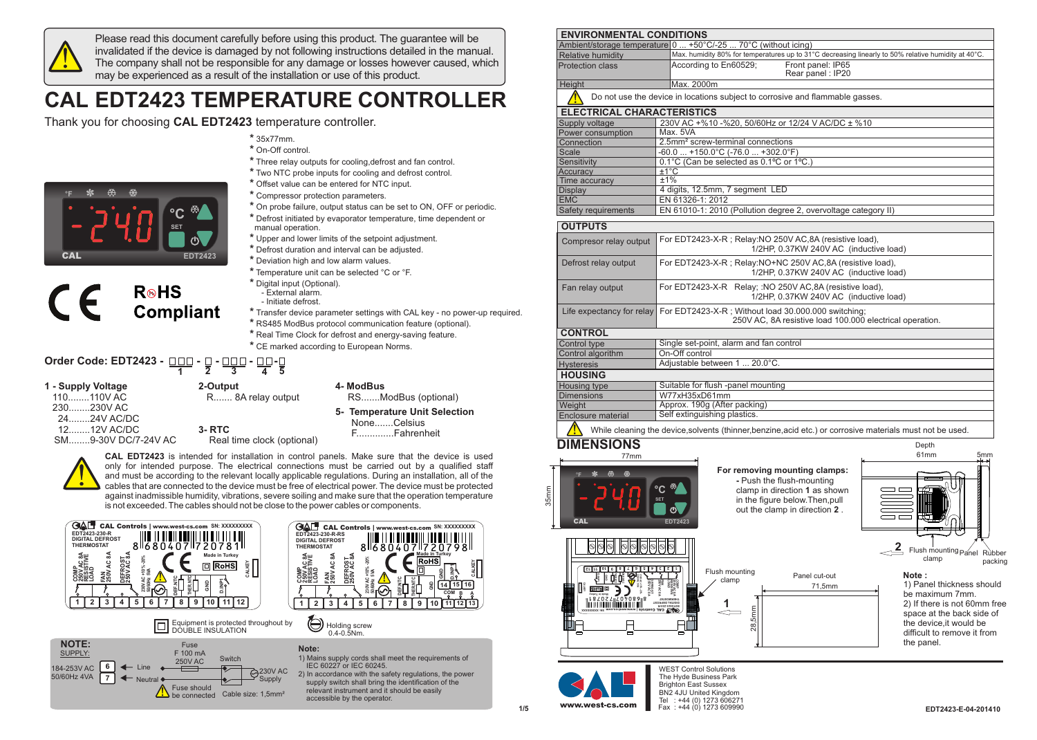

Please read this document carefully before using this product. The guarantee will be invalidated if the device is damaged by not following instructions detailed in the manual. The company shall not be responsible for any damage or losses however caused, which may be experienced as a result of the installation or use of this product.

## **CAL EDT2423 TEMPERATURE CONTROLLER**

Thank you for choosing **CAL EDT2423** temperature controller.

| $\Omega$   |  |                |
|------------|--|----------------|
|            |  |                |
|            |  | <b>SET</b>     |
| <b>CAL</b> |  | <b>EDT2423</b> |

| $*35x77mm$ .      |
|-------------------|
| * On-Off control. |

- **\*** Three relay outputs for cooling,defrost and fan control.
- **\*** Two NTC probe inputs for cooling and defrost control.
- **\*** Offset value can be entered for NTC input.
- **\*** Compressor protection parameters.
- **\*** On probe failure, output status can be set to ON, OFF or periodic.
- **\*** Defrost initiated by evaporator temperature, time dependent or manual operation.
- **\*** Upper and lower limits of the setpoint adjustment.
- **\*** Defrost duration and interval can be adjusted.
- **\*** Deviation high and low alarm values.
- **\*** Temperature unit can be selected °C or °F.
- **\*** Digital input (Optional). - External alarm.
	- Initiate defrost.
- **\*** Transfer device parameter settings with CAL key no power-up required.
- **\*** RS485 ModBus protocol communication feature (optional).
- **\*** Real Time Clock for defrost and energy-saving feature. **\*** CE marked according to European Norms.

## Order Code: EDT2423 - <u>□□□</u> - □ - <u>□□□</u> - <u>□□</u> -! **1 2 3 4 5**

**R**<sup>®</sup>HS

**Compliant** 

## **1 - Supply Voltage**

 $\epsilon$ 

- 110........110V AC
- 230........230V AC
- 24........24V AC/DC
- 12........12V AC/DC

SM........9-30V DC/7-24V AC

- **2-Output 4- ModBus**<br>R....... 8A relay output RS.......ModBus (optional) R....... 8A relay output
	-
	- **5- Temperature Unit Selection** None.......Celsius F..............Fahrenheit
	- Real time clock (optional)



**CAL EDT2423** is intended for installation in control panels. Make sure that the device is used only for intended purpose. The electrical connections must be carried out by a qualified staff and must be according to the relevant locally applicable regulations. During an installation, all of the cables that are connected to the device must be free of electrical power. The device must be protected against inadmissible humidity, vibrations, severe soiling and make sure that the operation temperature is not exceeded. The cables should not be close to the power cables or components.



**3- RTC** 







1) Mains supply cords shall meet the requirements of IEC 60227 or IEC 60245. 2) In accordance with the safety regulations, the power supply switch shall bring the identification of the

 relevant instrument and it should be easily accessible by the operator.

| <b>ENVIRONMENTAL CONDITIONS</b>   |                                                                                                                                                                 |
|-----------------------------------|-----------------------------------------------------------------------------------------------------------------------------------------------------------------|
|                                   | Ambient/storage temperature 0  +50°C/-25  70°C (without icing)                                                                                                  |
| Relative humidity                 | Max. humidity 80% for temperatures up to 31°C decreasing linearly to 50% relative humidity at 40°C.                                                             |
| Protection class                  | According to En60529;<br>Front panel: IP65<br>Rear panel: IP20                                                                                                  |
| Height                            | Max. 2000m                                                                                                                                                      |
|                                   | Do not use the device in locations subject to corrosive and flammable gasses.                                                                                   |
| <b>ELECTRICAL CHARACTERISTICS</b> |                                                                                                                                                                 |
| Supply voltage                    | 230V AC +%10 -%20, 50/60Hz or 12/24 V AC/DC ± %10                                                                                                               |
| Power consumption                 | Max. 5VA                                                                                                                                                        |
| Connection                        | 2.5mm <sup>2</sup> screw-terminal connections                                                                                                                   |
| <b>Scale</b>                      | $-60.0$ $+150.0^{\circ}$ C (-76.0 $+302.0^{\circ}$ F)                                                                                                           |
| Sensitivity                       | 0.1°C (Can be selected as 0.1°C or 1°C.)                                                                                                                        |
| Accuracy                          | $±1^{\circ}C$                                                                                                                                                   |
| Time accuracy                     | ±1%                                                                                                                                                             |
| <b>Display</b>                    | 4 digits, 12.5mm, 7 segment LED                                                                                                                                 |
| <b>EMC</b>                        | EN 61326-1: 2012                                                                                                                                                |
| Safety requirements               | EN 61010-1: 2010 (Pollution degree 2, overvoltage category II)                                                                                                  |
| <b>OUTPUTS</b>                    |                                                                                                                                                                 |
| Compresor relay output            | For EDT2423-X-R; Relay:NO 250V AC,8A (resistive load),<br>1/2HP, 0.37KW 240V AC (inductive load)                                                                |
| Defrost relay output              | For EDT2423-X-R; Relay:NO+NC 250V AC,8A (resistive load),<br>1/2HP, 0.37KW 240V AC (inductive load)                                                             |
| Fan relay output                  | For EDT2423-X-R Relay; :NO 250V AC,8A (resistive load),<br>1/2HP, 0.37KW 240V AC (inductive load)                                                               |
| Life expectancy for relay         | For EDT2423-X-R; Without load 30.000.000 switching;<br>250V AC, 8A resistive load 100.000 electrical operation.                                                 |
| <b>CONTROL</b>                    |                                                                                                                                                                 |
| Control type                      | Single set-point, alarm and fan control                                                                                                                         |
| Control algorithm                 | On-Off control                                                                                                                                                  |
| <b>Hysteresis</b>                 | Adjustable between 1  20.0°C.                                                                                                                                   |
| <b>HOUSING</b>                    |                                                                                                                                                                 |
| Housing type                      | Suitable for flush -panel mounting                                                                                                                              |
| <b>Dimensions</b>                 | W77xH35xD61mm                                                                                                                                                   |
| Weight                            | Approx. 190g (After packing)                                                                                                                                    |
| <b>Enclosure material</b>         | Self extinguishing plastics.                                                                                                                                    |
|                                   | While cleaning the device, solvents (thinner, benzine, acid etc.) or corrosive materials must not be used.                                                      |
| <b>MENSIONS</b>                   | Depth                                                                                                                                                           |
| 77mm                              | 61mm<br>5mm                                                                                                                                                     |
| CAL                               | For removing mounting clamps:<br>- Push the flush-mounting<br>clamp in direction 1 as shown<br>in the figure below. Then, pull<br>out the clamp in direction 2. |
|                                   | $2$ , Flush mounting $P_{\text{anel}}$ Ri                                                                                                                       |

 Flush mounting clamp ìhher packing

## **Note :**

1) Panel thickness should be maximum 7mm. 2) If there is not 60mm free space at the back side of the device,it would be difficult to remove it from the panel.



**01 9 8 21 11 DEF.NTC GND D.INP1**

 $SHOZ$   $\Box$ 

n i filmin r **yekr uT ni eda M**

**XXXXXXXXX: NS**

**CALKEY**

**7 6 5 4 3 2 1**

**230V -20% 50/60Hz DEFROST AC 8A FAN AC 8A COMP 250V AC 8A RESISTIVE LOAD**

**moc. sc-t se w. www| sl ort noC LAC**

**R- 032- 3242TDE DIGITAL DEFROST TATSOMREHT**

**|** WEST Control Solutions The Hyde Business Park Brighton East Sussex BN2 4JU United Kingdom **www.west-cs.com**<br>Fax: +44 (0) 1273 609990

Flush mounting clamp

**1**

 $20$ 

71,5mm

Panel cut-out

35mm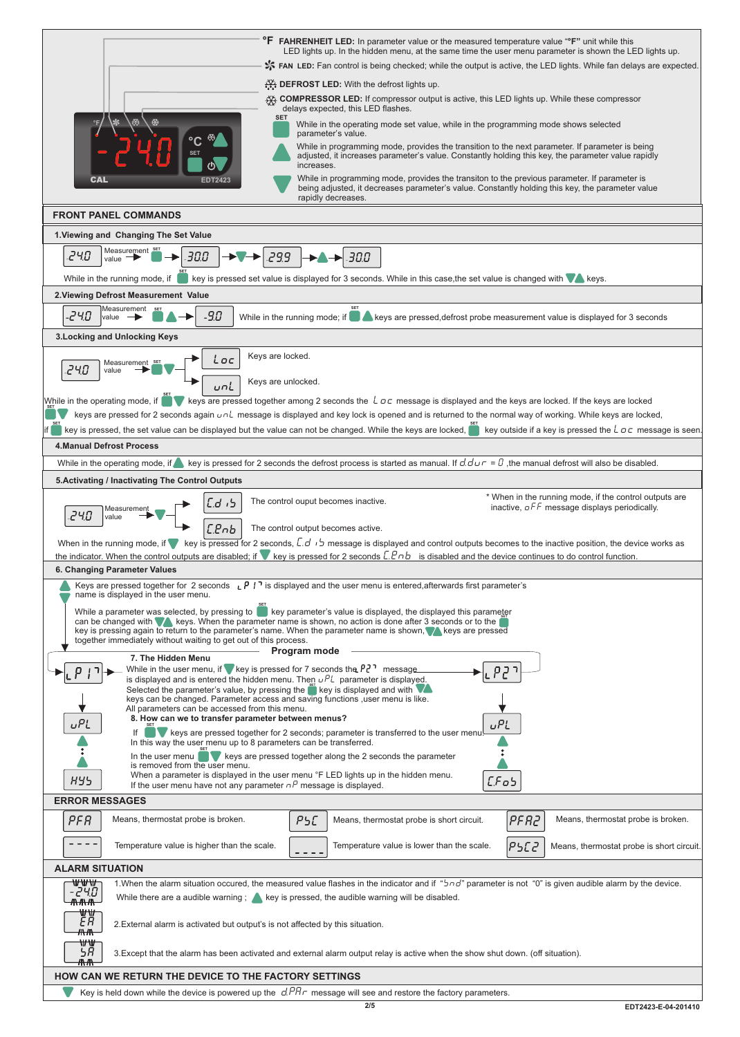|                                                                                                                | <b>F FAHRENHEIT LED:</b> In parameter value or the measured temperature value "F" unit while this<br>LED lights up. In the hidden menu, at the same time the user menu parameter is shown the LED lights up.                                                                                                                                              |
|----------------------------------------------------------------------------------------------------------------|-----------------------------------------------------------------------------------------------------------------------------------------------------------------------------------------------------------------------------------------------------------------------------------------------------------------------------------------------------------|
|                                                                                                                | FAN LED: Fan control is being checked; while the output is active, the LED lights. While fan delays are expected.                                                                                                                                                                                                                                         |
|                                                                                                                | <b>EXALCORDIE:</b> With the defrost lights up.                                                                                                                                                                                                                                                                                                            |
|                                                                                                                | <b>XX COMPRESSOR LED:</b> If compressor output is active, this LED lights up. While these compressor<br>delays expected, this LED flashes.                                                                                                                                                                                                                |
|                                                                                                                | <b>SET</b><br>While in the operating mode set value, while in the programming mode shows selected<br>parameter's value.                                                                                                                                                                                                                                   |
|                                                                                                                | While in programming mode, provides the transition to the next parameter. If parameter is being<br>adjusted, it increases parameter's value. Constantly holding this key, the parameter value rapidly<br>increases.                                                                                                                                       |
| CAL<br><b>EDT2423</b>                                                                                          | While in programming mode, provides the transiton to the previous parameter. If parameter is<br>being adjusted, it decreases parameter's value. Constantly holding this key, the parameter value<br>rapidly decreases.                                                                                                                                    |
| <b>FRONT PANEL COMMANDS</b>                                                                                    |                                                                                                                                                                                                                                                                                                                                                           |
| 1. Viewing and Changing The Set Value                                                                          |                                                                                                                                                                                                                                                                                                                                                           |
| Measurement<br>24.O<br>30.0<br>value -<br>While in the running mode, if                                        | 299<br>30.0<br>key is pressed set value is displayed for 3 seconds. While in this case, the set value is changed with veys.                                                                                                                                                                                                                               |
| 2. Viewing Defrost Measurement Value                                                                           |                                                                                                                                                                                                                                                                                                                                                           |
| Measurement<br>-240<br>-9.0<br>value $-$                                                                       | While in the running mode; if $\Box$ keys are pressed, defrost probe measurement value is displayed for 3 seconds                                                                                                                                                                                                                                         |
| 3. Locking and Unlocking Keys                                                                                  |                                                                                                                                                                                                                                                                                                                                                           |
|                                                                                                                | Keys are locked.                                                                                                                                                                                                                                                                                                                                          |
| i oc<br>Measurement SET<br>240<br>value                                                                        |                                                                                                                                                                                                                                                                                                                                                           |
| uni                                                                                                            | Keys are unlocked.                                                                                                                                                                                                                                                                                                                                        |
|                                                                                                                | While in the operating mode, if weys are pressed together among 2 seconds the $\angle$ oc message is displayed and the keys are locked. If the keys are locked<br>keys are pressed for 2 seconds again $u \circ l$ message is displayed and key lock is opened and is returned to the normal way of working. While keys are locked,                       |
| key is pressed, the set value can be displayed but the value can not be changed. While the keys are locked,    | $\mathbb{R}$ key outside if a key is pressed the $\mathcal{L}$ $\sigma$ c message is seen                                                                                                                                                                                                                                                                 |
| <b>4.Manual Defrost Process</b>                                                                                |                                                                                                                                                                                                                                                                                                                                                           |
|                                                                                                                | While in the operating mode, if key is pressed for 2 seconds the defrost process is started as manual. If $d.dur = 0$ , the manual defrost will also be disabled.                                                                                                                                                                                         |
| 5. Activating / Inactivating The Control Outputs                                                               |                                                                                                                                                                                                                                                                                                                                                           |
| Measuremen                                                                                                     | * When in the running mode, if the control outputs are<br>The control ouput becomes inactive.<br>inactive, $\sigma$ FF message displays periodically.                                                                                                                                                                                                     |
| <b>240</b><br>value<br>С.РпЬ                                                                                   | The control output becomes active.                                                                                                                                                                                                                                                                                                                        |
|                                                                                                                | When in the running mode, if we is pressed for 2 seconds, $\overline{L}$ , $\overline{U}$ in message is displayed and control outputs becomes to the inactive position, the device works as                                                                                                                                                               |
|                                                                                                                | the indicator. When the control outputs are disabled; if $\blacktriangledown$ key is pressed for 2 seconds $\mathcal{L}.\mathcal{L}\mathcal{D}$ is disabled and the device continues to do control function.                                                                                                                                              |
| 6. Changing Parameter Values                                                                                   | Keys are pressed together for 2 seconds $\iota P$ $\iota$ is displayed and the user menu is entered, afterwards first parameter's                                                                                                                                                                                                                         |
| name is displayed in the user menu.                                                                            |                                                                                                                                                                                                                                                                                                                                                           |
| together immediately without waiting to get out of this process.                                               | While a parameter was selected, by pressing to say parameter's value is displayed, the displayed this parameter<br>can be changed with $\blacksquare$ keys. When the parameter name is shown, no action is done after 3 seconds or to the<br>key is pressing again to return to the parameter's name. When the parameter name is shown, wheys are pressed |
| 7. The Hidden Menu                                                                                             | Program mode                                                                                                                                                                                                                                                                                                                                              |
|                                                                                                                | While in the user menu, if we key is pressed for 7 seconds the $P\ell^1$ message<br>is displayed and is entered the hidden menu. Then $uPL$ parameter is displayed.                                                                                                                                                                                       |
|                                                                                                                | Selected the parameter's value, by pressing the $\mathbb{R}$ key is displayed and with $\mathbb{V}$<br>keys can be changed. Parameter access and saving functions , user menu is like.                                                                                                                                                                    |
| All parameters can be accessed from this menu.<br>8. How can we to transfer parameter between menus?           |                                                                                                                                                                                                                                                                                                                                                           |
| <b>UPL</b>                                                                                                     | UPL<br>keys are pressed together for 2 seconds; parameter is transferred to the user menu                                                                                                                                                                                                                                                                 |
| In this way the user menu up to 8 parameters can be transferred.<br>In the user menu                           | keys are pressed together along the 2 seconds the parameter                                                                                                                                                                                                                                                                                               |
| is removed from the user menu.                                                                                 | When a parameter is displayed in the user menu °F LED lights up in the hidden menu.                                                                                                                                                                                                                                                                       |
| <b>HY5</b><br>If the user menu have not any parameter $\sigma^p$ message is displayed.                         | $E$ Fob                                                                                                                                                                                                                                                                                                                                                   |
| <b>ERROR MESSAGES</b>                                                                                          |                                                                                                                                                                                                                                                                                                                                                           |
| Means, thermostat probe is broken.<br>PFR                                                                      | Means, thermostat probe is broken.<br>PSC<br>PFR2<br>Means, thermostat probe is short circuit.                                                                                                                                                                                                                                                            |
| Temperature value is higher than the scale.                                                                    | Temperature value is lower than the scale.<br>P5C2<br>Means, thermostat probe is short circuit.                                                                                                                                                                                                                                                           |
| <b>ALARM SITUATION</b>                                                                                         |                                                                                                                                                                                                                                                                                                                                                           |
| ₩₩₩<br>-240                                                                                                    | 1. When the alarm situation occured, the measured value flashes in the indicator and if " $5nd$ " parameter is not "0" is given audible alarm by the device.                                                                                                                                                                                              |
| <del>/\\/\\/\\</del><br>₩₩                                                                                     | While there are a audible warning $\frac{1}{2}$ key is pressed, the audible warning will be disabled.                                                                                                                                                                                                                                                     |
| EЯ<br>2. External alarm is activated but output's is not affected by this situation.<br><del>/∖/∖\</del><br>₩₩ |                                                                                                                                                                                                                                                                                                                                                           |
| SЯ<br><del>Л\Л\</del>                                                                                          | 3. Except that the alarm has been activated and external alarm output relay is active when the show shut down. (off situation).                                                                                                                                                                                                                           |
| <b>HOW CAN WE RETURN THE DEVICE TO THE FACTORY SETTINGS</b>                                                    |                                                                                                                                                                                                                                                                                                                                                           |
|                                                                                                                | Key is held down while the device is powered up the $d.PRr$ message will see and restore the factory parameters.                                                                                                                                                                                                                                          |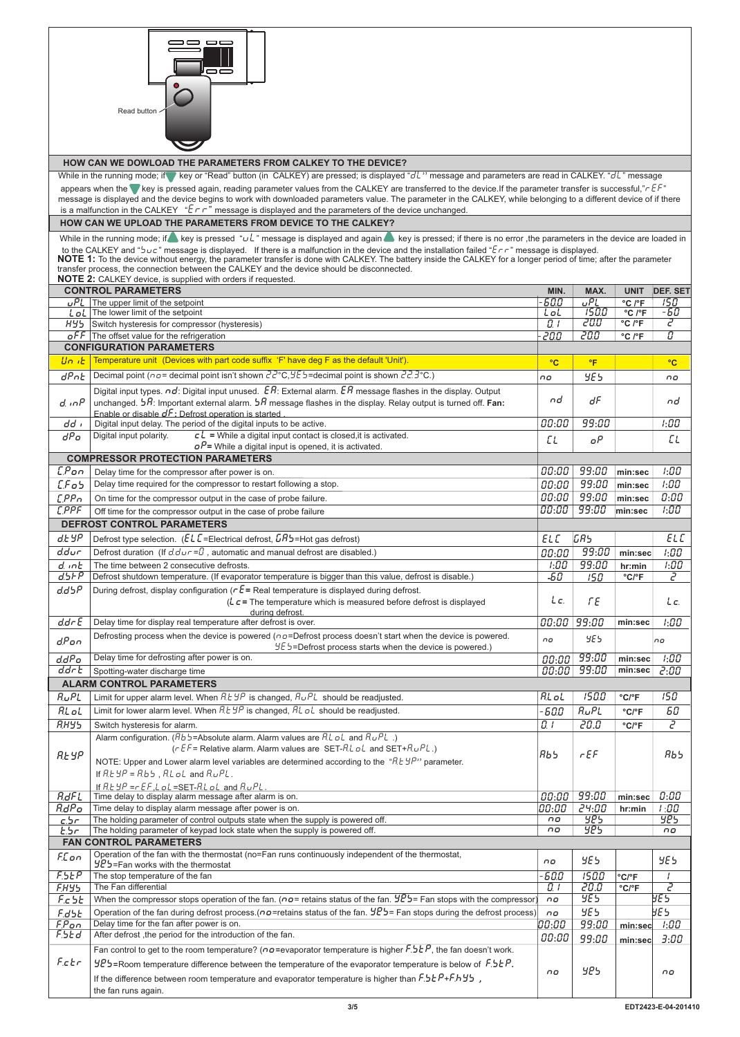|                   | ∍ ⇔⇔<br>$=$<br>Read button                                                                                                                                                                                                                                                                                                                                                                                                                                                                                                                                                                                                                                                      |                      |                                       |                                      |                 |
|-------------------|---------------------------------------------------------------------------------------------------------------------------------------------------------------------------------------------------------------------------------------------------------------------------------------------------------------------------------------------------------------------------------------------------------------------------------------------------------------------------------------------------------------------------------------------------------------------------------------------------------------------------------------------------------------------------------|----------------------|---------------------------------------|--------------------------------------|-----------------|
|                   | HOW CAN WE DOWLOAD THE PARAMETERS FROM CALKEY TO THE DEVICE?                                                                                                                                                                                                                                                                                                                                                                                                                                                                                                                                                                                                                    |                      |                                       |                                      |                 |
|                   | While in the running mode; if key or "Read" button (in CALKEY) are pressed; is displayed "dl'" message and parameters are read in CALKEY. "dl" message                                                                                                                                                                                                                                                                                                                                                                                                                                                                                                                          |                      |                                       |                                      |                 |
|                   | appears when the whey is pressed again, reading parameter values from the CALKEY are transferred to the device. If the parameter transfer is successful," r EF"                                                                                                                                                                                                                                                                                                                                                                                                                                                                                                                 |                      |                                       |                                      |                 |
|                   | message is displayed and the device begins to work with downloaded parameters value. The parameter in the CALKEY, while belonging to a different device of if there                                                                                                                                                                                                                                                                                                                                                                                                                                                                                                             |                      |                                       |                                      |                 |
|                   | is a malfunction in the CALKEY " $E \rightharpoonup r$ " message is displayed and the parameters of the device unchanged.                                                                                                                                                                                                                                                                                                                                                                                                                                                                                                                                                       |                      |                                       |                                      |                 |
|                   | HOW CAN WE UPLOAD THE PARAMETERS FROM DEVICE TO THE CALKEY?                                                                                                                                                                                                                                                                                                                                                                                                                                                                                                                                                                                                                     |                      |                                       |                                      |                 |
|                   | While in the running mode; if sey is pressed " $u'$ " message is displayed and again sey is pressed; if there is no error, the parameters in the device are loaded in<br>to the CALKEY and " $5\mu c$ " message is displayed. If there is a malfunction in the device and the installation failed " $E \tau r$ " message is displayed.<br>NOTE 1: To the device without energy, the parameter transfer is done with CALKEY. The battery inside the CALKEY for a longer period of time; after the parameter<br>transfer process, the connection between the CALKEY and the device should be disconnected.<br><b>NOTE 2:</b> CALKEY device, is supplied with orders if requested. |                      |                                       |                                      |                 |
|                   | <b>CONTROL PARAMETERS</b>                                                                                                                                                                                                                                                                                                                                                                                                                                                                                                                                                                                                                                                       | MIN.                 | MAX.                                  | <b>UNIT</b>                          | <b>DEF. SET</b> |
|                   | $uPL$ The upper limit of the setpoint                                                                                                                                                                                                                                                                                                                                                                                                                                                                                                                                                                                                                                           | 600                  | $\overline{\overline{\overline{L}}P}$ | °C /°F                               | 150             |
|                   | $\lfloor \frac{1}{2} \rfloor$ The lower limit of the setpoint                                                                                                                                                                                                                                                                                                                                                                                                                                                                                                                                                                                                                   | LoL                  | 750.0                                 | °C /°F                               | -60             |
| 895 H             | Switch hysteresis for compressor (hysteresis)                                                                                                                                                                                                                                                                                                                                                                                                                                                                                                                                                                                                                                   | 0.1                  | 20.0                                  | °C /°F                               | г               |
|                   | $\sigma$ FF The offset value for the refrigeration<br><b>CONFIGURATION PARAMETERS</b>                                                                                                                                                                                                                                                                                                                                                                                                                                                                                                                                                                                           | 20.0                 | 20.0                                  | °C /°F                               | 0               |
|                   | Temperature unit (Devices with part code suffix 'F' have deg F as the default 'Unit').                                                                                                                                                                                                                                                                                                                                                                                                                                                                                                                                                                                          |                      |                                       |                                      |                 |
| Un ib             |                                                                                                                                                                                                                                                                                                                                                                                                                                                                                                                                                                                                                                                                                 | $\circ$ <sub>C</sub> | $\overline{\text{}}$                  |                                      | $^{\circ}$ C    |
| dPnE              | Decimal point ( $\sigma$ o = decimal point isn't shown $22^{\circ}$ C, $95$ = decimal point is shown $22.3^{\circ}$ C.)                                                                                                                                                                                                                                                                                                                                                                                                                                                                                                                                                         | no                   | YE 5                                  |                                      | no              |
| d. in P           | Digital input types. $\sigma d$ : Digital input unused. $ER$ : External alarm. $ER$ message flashes in the display. Output<br>unchanged. $5R$ : Important external alarm. $5R$ message flashes in the display. Relay output is turned off. Fan:                                                                                                                                                                                                                                                                                                                                                                                                                                 | nd                   | dF                                    |                                      | nd              |
| dd i              | Enable or disable $dF$ : Defrost operation is started.<br>Digital input delay. The period of the digital inputs to be active.                                                                                                                                                                                                                                                                                                                                                                                                                                                                                                                                                   | 00:00                | 99:00                                 |                                      | 1:00            |
| $dP_0$            | $cL$ = While a digital input contact is closed, it is activated.<br>Digital input polarity.                                                                                                                                                                                                                                                                                                                                                                                                                                                                                                                                                                                     |                      |                                       |                                      |                 |
|                   | $\sigma P$ = While a digital input is opened, it is activated.                                                                                                                                                                                                                                                                                                                                                                                                                                                                                                                                                                                                                  | ΕL                   | oΡ                                    |                                      | ЕL              |
|                   | <b>COMPRESSOR PROTECTION PARAMETERS</b>                                                                                                                                                                                                                                                                                                                                                                                                                                                                                                                                                                                                                                         |                      |                                       |                                      |                 |
| $E. P$ on         | Delay time for the compressor after power is on.                                                                                                                                                                                                                                                                                                                                                                                                                                                                                                                                                                                                                                | 00:00                | 99:00                                 | min:sec                              | 1:00            |
| LFo5              | Delay time required for the compressor to restart following a stop.                                                                                                                                                                                                                                                                                                                                                                                                                                                                                                                                                                                                             | 00:00                | 99:00                                 | min:sec                              | 1:00            |
| EPPn              | On time for the compressor output in the case of probe failure.                                                                                                                                                                                                                                                                                                                                                                                                                                                                                                                                                                                                                 | 00:00                | 99:00                                 | min:sec                              | 0:00            |
| LPPF              | Off time for the compressor output in the case of probe failure                                                                                                                                                                                                                                                                                                                                                                                                                                                                                                                                                                                                                 | 00:00                | 99:00                                 | min:sec                              | 1:00            |
|                   | <b>DEFROST CONTROL PARAMETERS</b>                                                                                                                                                                                                                                                                                                                                                                                                                                                                                                                                                                                                                                               |                      |                                       |                                      |                 |
| d.EYP             | Defrost type selection. ( $ELE$ = Electrical defrost, $LAB$ = Hot gas defrost)                                                                                                                                                                                                                                                                                                                                                                                                                                                                                                                                                                                                  | ELC                  | GR5                                   |                                      | ELC             |
| ddur              | Defrost duration (If $d \cdot d \cdot r = D$ , automatic and manual defrost are disabled.)                                                                                                                                                                                                                                                                                                                                                                                                                                                                                                                                                                                      |                      | 99:00                                 |                                      |                 |
|                   | The time between 2 consecutive defrosts.                                                                                                                                                                                                                                                                                                                                                                                                                                                                                                                                                                                                                                        | 00:00<br>1:00        | 99:00                                 | min:sec                              | 1:00<br>1:00    |
| d. inb<br>d.SFP   | Defrost shutdown temperature. (If evaporator temperature is bigger than this value, defrost is disable.)                                                                                                                                                                                                                                                                                                                                                                                                                                                                                                                                                                        | $-50$                | 150                                   | hr:min<br>$^{\circ}$ C/ $^{\circ}$ F | 2               |
| d.d5P             | During defrost, display configuration ( $\tau \mathcal{E}$ = Real temperature is displayed during defrost.                                                                                                                                                                                                                                                                                                                                                                                                                                                                                                                                                                      |                      |                                       |                                      |                 |
|                   | ( $\mathcal{L}$ $\mathsf{c}$ = The temperature which is measured before defrost is displayed<br>during defrost.                                                                                                                                                                                                                                                                                                                                                                                                                                                                                                                                                                 | Lc.                  | ΓE                                    |                                      | Lc.             |
| $dd - E$          | Delay time for display real temperature after defrost is over.                                                                                                                                                                                                                                                                                                                                                                                                                                                                                                                                                                                                                  |                      | 00:00 99:00                           | min:sec                              | 1:00            |
| $d$ . $P$ on      | Defrosting process when the device is powered ( $n =$ Defrost process doesn't start when the device is powered.<br>$4E$ 5=Defrost process starts when the device is powered.)                                                                                                                                                                                                                                                                                                                                                                                                                                                                                                   | no                   | YE 5                                  |                                      | no              |
| d dP <sub>O</sub> | Delay time for defrosting after power is on.                                                                                                                                                                                                                                                                                                                                                                                                                                                                                                                                                                                                                                    | 00:00                | 99:00                                 | min:sec                              | 1:00            |
| ddrt              | Spotting-water discharge time                                                                                                                                                                                                                                                                                                                                                                                                                                                                                                                                                                                                                                                   | 00:00                | 99:00                                 | min:sec                              | 2:00            |
|                   | <b>ALARM CONTROL PARAMETERS</b>                                                                                                                                                                                                                                                                                                                                                                                                                                                                                                                                                                                                                                                 |                      |                                       |                                      |                 |
| $R_UPL$           | Limit for upper alarm level. When $RE$ $\sharp P$ is changed, $RuPL$ should be readjusted.                                                                                                                                                                                                                                                                                                                                                                                                                                                                                                                                                                                      | RL oL                | 150.0                                 | °C/°F                                | 150             |
| $R_{L}$ o $L$     | Limit for lower alarm level. When $RE5P$ is changed, $RLOL$ should be readjusted.                                                                                                                                                                                                                                                                                                                                                                                                                                                                                                                                                                                               | -600                 | $R_UPL$                               | °C/°F                                | 60              |
| <b>RHYS</b>       | Switch hysteresis for alarm.                                                                                                                                                                                                                                                                                                                                                                                                                                                                                                                                                                                                                                                    | 0. I                 | 20.0                                  | °C/°F                                | 2               |
|                   | Alarm configuration. ( $Bb$ 5=Absolute alarm. Alarm values are $R$ L $o$ L and $R$ . $P$ L.)                                                                                                                                                                                                                                                                                                                                                                                                                                                                                                                                                                                    |                      |                                       |                                      |                 |
| <b>REYP</b>       | ( $r \, \epsilon F$ = Relative alarm. Alarm values are SET- $R$ , L $o$ L and SET+ $R \cup P$ L.)<br>NOTE: Upper and Lower alarm level variables are determined according to the "R.E YP" parameter.<br>If $R.EYP = R.b5$ , $RLoL$ and $RuPL$ .                                                                                                                                                                                                                                                                                                                                                                                                                                 | Rb5.                 | FEF                                   |                                      | ЯЬЬ             |
|                   | If $R$ $E$ $5P$ = $r$ $E$ $F$ $.$ L $o$ L = SET- $R$ L $o$ L and $R$ $o$ $PL$                                                                                                                                                                                                                                                                                                                                                                                                                                                                                                                                                                                                   |                      |                                       |                                      |                 |
| <b>AdFL</b>       | Time delay to display alarm message after alarm is on.                                                                                                                                                                                                                                                                                                                                                                                                                                                                                                                                                                                                                          | 00:00                | 99:00                                 | min:sec                              | 0:00            |
| RdPo              | Time delay to display alarm message after power is on.                                                                                                                                                                                                                                                                                                                                                                                                                                                                                                                                                                                                                          | 00:00                | 24:00                                 | hr:min                               | 1:00            |
| c.5r              | The holding parameter of control outputs state when the supply is powered off.                                                                                                                                                                                                                                                                                                                                                                                                                                                                                                                                                                                                  | no                   | 362                                   |                                      | 362             |
| <u> E.Sr</u>      | The holding parameter of keypad lock state when the supply is powered off.<br><b>FAN CONTROL PARAMETERS</b>                                                                                                                                                                                                                                                                                                                                                                                                                                                                                                                                                                     | no                   | 985                                   |                                      | no              |
|                   | Operation of the fan with the thermostat (no=Fan runs continuously independent of the thermostat,                                                                                                                                                                                                                                                                                                                                                                                                                                                                                                                                                                               |                      |                                       |                                      |                 |
| F.Con             | $925$ =Fan works with the thermostat                                                                                                                                                                                                                                                                                                                                                                                                                                                                                                                                                                                                                                            | no                   | YE 5                                  |                                      | YE 5            |
| F.5EP             | The stop temperature of the fan                                                                                                                                                                                                                                                                                                                                                                                                                                                                                                                                                                                                                                                 | -60.0                | 150.0                                 | °C/°F                                |                 |
| F.HY5             | The Fan differential                                                                                                                                                                                                                                                                                                                                                                                                                                                                                                                                                                                                                                                            | O. I                 | 20.0                                  | °C/°F                                | $\overline{c}$  |
| F.c 5E            | When the compressor stops operation of the fan. ( $\sigma\sigma$ = retains status of the fan. $\mathcal{L}B$ = Fan stops with the compressor)                                                                                                                                                                                                                                                                                                                                                                                                                                                                                                                                   | no                   | <b>YE5</b>                            |                                      | 9E S            |
| F.d5t             | Operation of the fan during defrost process. ( $n\sigma$ =retains status of the fan. $\mathcal{HP}$ ) = Fan stops during the defrost process)                                                                                                                                                                                                                                                                                                                                                                                                                                                                                                                                   | no                   | YE 5                                  |                                      | ye s            |
| F. P. on          | Delay time for the fan after power is on.                                                                                                                                                                                                                                                                                                                                                                                                                                                                                                                                                                                                                                       | 00:00                | 99:00                                 | min:sec                              | 1:00            |
| F.SEd             | After defrost , the period for the introduction of the fan.                                                                                                                                                                                                                                                                                                                                                                                                                                                                                                                                                                                                                     | 00:00                | 99:00                                 | min:sec                              | 3:00            |
|                   | Fan control to get to the room temperature? ( $nc$ =evaporator temperature is higher $F.5EP$ , the fan doesn't work.                                                                                                                                                                                                                                                                                                                                                                                                                                                                                                                                                            |                      |                                       |                                      |                 |
| F.c.              | HP5=Room temperature difference between the temperature of the evaporator temperature is below of F.5EP.<br>If the difference between room temperature and evaporator temperature is higher than $F.5E P + F. H 55$ ,<br>the fan runs again.                                                                                                                                                                                                                                                                                                                                                                                                                                    | no                   | 962                                   |                                      | пo              |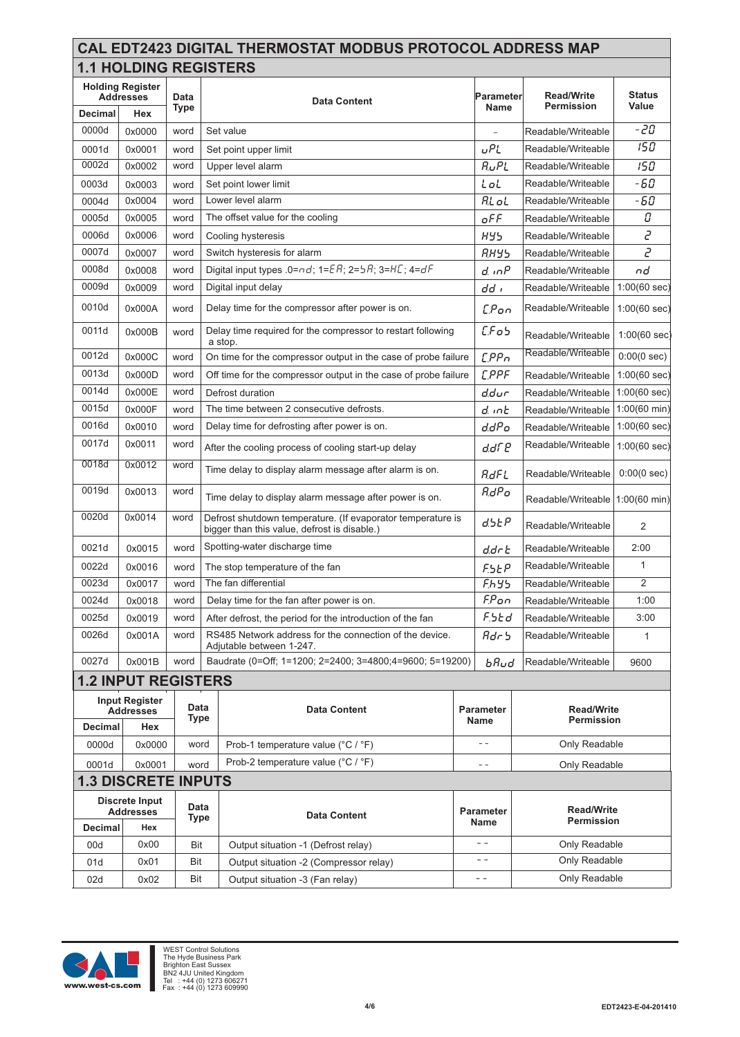|                                             | <b>CAL EDT2423 DIGITAL THERMOSTAT MODBUS PROTOCOL ADDRESS MAP</b> |      |                              |             |                   |               |  |  |
|---------------------------------------------|-------------------------------------------------------------------|------|------------------------------|-------------|-------------------|---------------|--|--|
|                                             |                                                                   |      | <b>1.1 HOLDING REGISTERS</b> |             |                   |               |  |  |
| <b>Holding Register</b><br><b>Addresses</b> |                                                                   | Data | <b>Data Content</b>          | Parameter   | <b>Read/Write</b> | <b>Status</b> |  |  |
| Decimal                                     | Hex                                                               | Type |                              | <b>Name</b> | <b>Permission</b> | Value         |  |  |
| <b>DOOOA</b>                                | 0.0000                                                            |      | المستحدث المستمردة           |             |                   | - חכ          |  |  |

| Decimal        | Hex                                       | iype.       |                                                                                                             | name                |                                 | <b>v</b> aius          |                   |  |
|----------------|-------------------------------------------|-------------|-------------------------------------------------------------------------------------------------------------|---------------------|---------------------------------|------------------------|-------------------|--|
| 0000d          | 0x0000                                    | word        | Set value                                                                                                   |                     | Readable/Writeable              | -20                    |                   |  |
| 0001d          | 0x0001                                    | word        | Set point upper limit                                                                                       | <b>UPL</b>          | Readable/Writeable              | 150                    |                   |  |
| 0002d          | 0x0002                                    | word        | Upper level alarm                                                                                           | $R_UPL$             | Readable/Writeable              | 150                    |                   |  |
| 0003d          | 0x0003                                    | word        | Set point lower limit                                                                                       | LoL                 | Readable/Writeable              | -60                    |                   |  |
| 0004d          | 0x0004                                    | word        | Lower level alarm                                                                                           | <b>AL</b> oL        | Readable/Writeable              | -60                    |                   |  |
| 0005d          | 0x0005                                    | word        | The offset value for the cooling                                                                            | oFF                 | Readable/Writeable              | О                      |                   |  |
| 0006d          | 0x0006                                    | word        | Cooling hysteresis                                                                                          | <b>HY5</b>          | Readable/Writeable              | $\overline{c}$         |                   |  |
| 0007d          | 0x0007                                    | word        | Switch hysteresis for alarm                                                                                 | <b>RHY5</b>         | Readable/Writeable              | $\overline{c}$         |                   |  |
| 0008d          | 0x0008                                    | word        | Digital input types $.0 = nd$ ; $1 = \mathbb{E} R$ ; $2 = 5R$ ; $3 = HE$ ; $4 = dF$                         | d. in P             | Readable/Writeable              | nd                     |                   |  |
| 0009d          | 0x0009                                    | word        | Digital input delay                                                                                         | dd i                | Readable/Writeable              | 1:00(60 sec)           |                   |  |
| 0010d          | 0x000A                                    | word        | Delay time for the compressor after power is on.                                                            | <b>C.Pon</b>        | Readable/Writeable              | 1:00(60 sec)           |                   |  |
| 0011d          | 0x000B                                    | word        | Delay time required for the compressor to restart following<br>a stop.                                      | LFo5                | Readable/Writeable              | $1:00(60 \text{ sec})$ |                   |  |
| 0012d          | 0x000C                                    | word        | On time for the compressor output in the case of probe failure                                              | EPPn                | Readable/Writeable              | 0:00(0 sec)            |                   |  |
| 0013d          | 0x000D                                    | word        | Off time for the compressor output in the case of probe failure                                             | <b>C.PPF</b>        | Readable/Writeable              | 1:00(60 sec)           |                   |  |
| 0014d          | 0x000E                                    | word        | Defrost duration                                                                                            | d.dur               | Readable/Writeable              | 1:00(60 sec)           |                   |  |
| 0015d          | 0x000F                                    | word        | The time between 2 consecutive defrosts.                                                                    | d. inb              | Readable/Writeable              | 1:00(60 min)           |                   |  |
| 0016d          | 0x0010                                    | word        | Delay time for defrosting after power is on.                                                                | d.dPo               | Readable/Writeable              | $1:00(60 \text{ sec})$ |                   |  |
| 0017d          | 0x0011                                    | word        | After the cooling process of cooling start-up delay                                                         | ddre                | Readable/Writeable              | 1:00(60 sec)           |                   |  |
| 0018d          | 0x0012                                    | word        | Time delay to display alarm message after alarm is on.                                                      |                     | Readable/Writeable              | 0:00(0 sec)            |                   |  |
| 0019d          | 0x0013                                    | word        | Time delay to display alarm message after power is on.                                                      |                     | Readable/Writeable 1:00(60 min) |                        |                   |  |
| 0020d          | 0x0014                                    | word        | Defrost shutdown temperature. (If evaporator temperature is<br>bigger than this value, defrost is disable.) | d.5EP               | Readable/Writeable              | 2                      |                   |  |
| 0021d          | 0x0015                                    | word        | Spotting-water discharge time                                                                               | d.dr E              | Readable/Writeable              | 2:00                   |                   |  |
| 0022d          | 0x0016                                    | word        | The stop temperature of the fan                                                                             | <b>F.SEP</b>        | Readable/Writeable              | 1                      |                   |  |
| 0023d          | 0x0017                                    | word        | The fan differential                                                                                        | <b>F.hys</b>        | Readable/Writeable              | $\overline{2}$         |                   |  |
| 0024d          | 0x0018                                    | word        | Delay time for the fan after power is on.                                                                   | $F.P$ <sub>on</sub> | Readable/Writeable              | 1:00                   |                   |  |
| 0025d          | 0x0019                                    | word        | After defrost, the period for the introduction of the fan                                                   | F.SEd               | Readable/Writeable              | 3:00                   |                   |  |
| 0026d          | 0x001A                                    | word        | RS485 Network address for the connection of the device.<br>Adjutable between 1-247.                         | Rdr                 | Readable/Writeable              | $\mathbf{1}$           |                   |  |
| 0027d          | 0x001B                                    | word        | Baudrate (0=Off; 1=1200; 2=2400; 3=4800;4=9600; 5=19200)                                                    | $b$ Rud             | Readable/Writeable              | 9600                   |                   |  |
|                | <b>1.2 INPUT REGISTERS</b>                |             |                                                                                                             |                     |                                 |                        |                   |  |
|                | <b>Input Register</b>                     |             | Data<br><b>Addresses</b>                                                                                    |                     | <b>Data Content</b>             | <b>Parameter</b>       | <b>Read/Write</b> |  |
| <b>Decimal</b> | Hex                                       | <b>Type</b> |                                                                                                             | Name                | <b>Permission</b>               |                        |                   |  |
| 0000d          | 0x0000                                    | word        | Prob-1 temperature value (°C / °F)                                                                          | $ -$                | Only Readable                   |                        |                   |  |
| 0001d          | 0x0001                                    |             | Prob-2 temperature value (°C / °F)<br>word                                                                  | $ -$                | Only Readable                   |                        |                   |  |
|                | <b>1.3 DISCRETE INPUTS</b>                |             |                                                                                                             |                     |                                 |                        |                   |  |
|                | <b>Discrete Input</b><br><b>Addresses</b> |             | Data<br><b>Data Content</b>                                                                                 | <b>Parameter</b>    | <b>Read/Write</b>               |                        |                   |  |
| <b>Decimal</b> | Hex                                       | <b>Type</b> |                                                                                                             | Name                | Permission                      |                        |                   |  |
| 00d            | 0x00                                      | Bit         | Output situation -1 (Defrost relay)                                                                         | $- -$               | Only Readable                   |                        |                   |  |
| 01d            | 0x01                                      | Bit         | Output situation -2 (Compressor relay)                                                                      | - -                 | Only Readable                   |                        |                   |  |
| 02d            | 0x02                                      | Bit         | Output situation -3 (Fan relay)                                                                             | $- -$               | Only Readable                   |                        |                   |  |